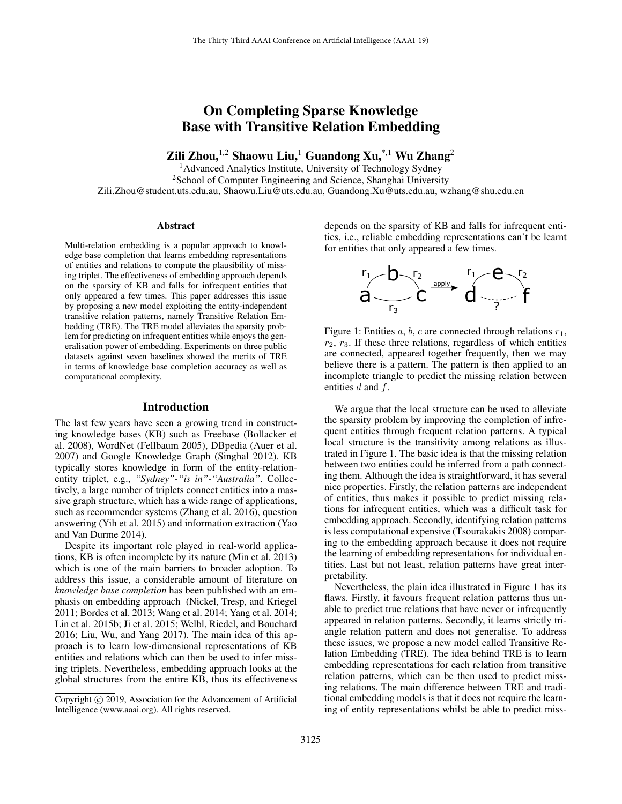# On Completing Sparse Knowledge Base with Transitive Relation Embedding

Zili Zhou,<sup>1,2</sup> Shaowu Liu,<sup>1</sup> Guandong Xu,<sup>\*,1</sup> Wu Zhang<sup>2</sup>

<sup>1</sup>Advanced Analytics Institute, University of Technology Sydney <sup>2</sup>School of Computer Engineering and Science, Shanghai University Zili.Zhou@student.uts.edu.au, Shaowu.Liu@uts.edu.au, Guandong.Xu@uts.edu.au, wzhang@shu.edu.cn

#### Abstract

Multi-relation embedding is a popular approach to knowledge base completion that learns embedding representations of entities and relations to compute the plausibility of missing triplet. The effectiveness of embedding approach depends on the sparsity of KB and falls for infrequent entities that only appeared a few times. This paper addresses this issue by proposing a new model exploiting the entity-independent transitive relation patterns, namely Transitive Relation Embedding (TRE). The TRE model alleviates the sparsity problem for predicting on infrequent entities while enjoys the generalisation power of embedding. Experiments on three public datasets against seven baselines showed the merits of TRE in terms of knowledge base completion accuracy as well as computational complexity.

#### Introduction

The last few years have seen a growing trend in constructing knowledge bases (KB) such as Freebase (Bollacker et al. 2008), WordNet (Fellbaum 2005), DBpedia (Auer et al. 2007) and Google Knowledge Graph (Singhal 2012). KB typically stores knowledge in form of the entity-relationentity triplet, e.g., *"Sydney"-"is in"-"Australia"*. Collectively, a large number of triplets connect entities into a massive graph structure, which has a wide range of applications, such as recommender systems (Zhang et al. 2016), question answering (Yih et al. 2015) and information extraction (Yao and Van Durme 2014).

Despite its important role played in real-world applications, KB is often incomplete by its nature (Min et al. 2013) which is one of the main barriers to broader adoption. To address this issue, a considerable amount of literature on *knowledge base completion* has been published with an emphasis on embedding approach (Nickel, Tresp, and Kriegel 2011; Bordes et al. 2013; Wang et al. 2014; Yang et al. 2014; Lin et al. 2015b; Ji et al. 2015; Welbl, Riedel, and Bouchard 2016; Liu, Wu, and Yang 2017). The main idea of this approach is to learn low-dimensional representations of KB entities and relations which can then be used to infer missing triplets. Nevertheless, embedding approach looks at the global structures from the entire KB, thus its effectiveness

depends on the sparsity of KB and falls for infrequent entities, i.e., reliable embedding representations can't be learnt for entities that only appeared a few times.



Figure 1: Entities a, b, c are connected through relations  $r_1$ ,  $r_2$ ,  $r_3$ . If these three relations, regardless of which entities are connected, appeared together frequently, then we may believe there is a pattern. The pattern is then applied to an incomplete triangle to predict the missing relation between entities  $d$  and  $f$ .

We argue that the local structure can be used to alleviate the sparsity problem by improving the completion of infrequent entities through frequent relation patterns. A typical local structure is the transitivity among relations as illustrated in Figure 1. The basic idea is that the missing relation between two entities could be inferred from a path connecting them. Although the idea is straightforward, it has several nice properties. Firstly, the relation patterns are independent of entities, thus makes it possible to predict missing relations for infrequent entities, which was a difficult task for embedding approach. Secondly, identifying relation patterns is less computational expensive (Tsourakakis 2008) comparing to the embedding approach because it does not require the learning of embedding representations for individual entities. Last but not least, relation patterns have great interpretability.

Nevertheless, the plain idea illustrated in Figure 1 has its flaws. Firstly, it favours frequent relation patterns thus unable to predict true relations that have never or infrequently appeared in relation patterns. Secondly, it learns strictly triangle relation pattern and does not generalise. To address these issues, we propose a new model called Transitive Relation Embedding (TRE). The idea behind TRE is to learn embedding representations for each relation from transitive relation patterns, which can be then used to predict missing relations. The main difference between TRE and traditional embedding models is that it does not require the learning of entity representations whilst be able to predict miss-

Copyright (c) 2019, Association for the Advancement of Artificial Intelligence (www.aaai.org). All rights reserved.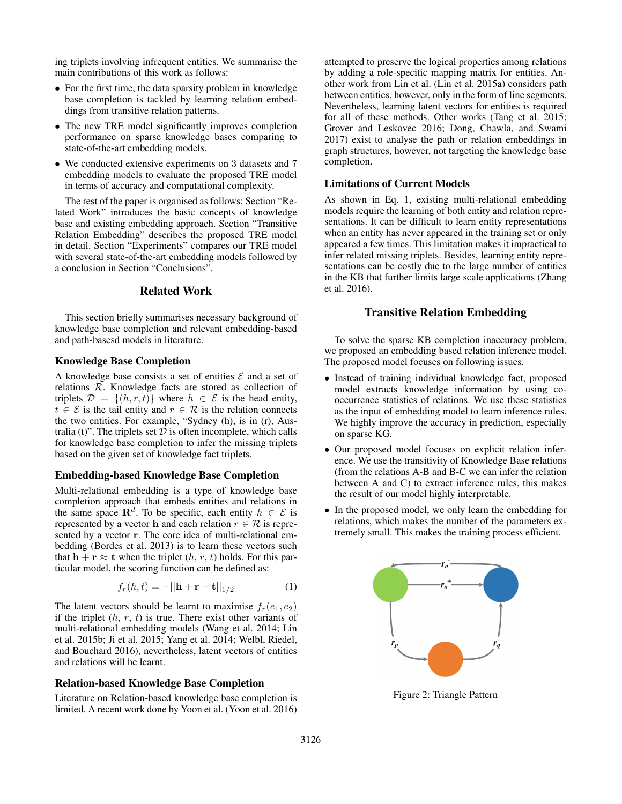ing triplets involving infrequent entities. We summarise the main contributions of this work as follows:

- For the first time, the data sparsity problem in knowledge base completion is tackled by learning relation embeddings from transitive relation patterns.
- The new TRE model significantly improves completion performance on sparse knowledge bases comparing to state-of-the-art embedding models.
- We conducted extensive experiments on 3 datasets and 7 embedding models to evaluate the proposed TRE model in terms of accuracy and computational complexity.

The rest of the paper is organised as follows: Section "Related Work" introduces the basic concepts of knowledge base and existing embedding approach. Section "Transitive Relation Embedding" describes the proposed TRE model in detail. Section "Experiments" compares our TRE model with several state-of-the-art embedding models followed by a conclusion in Section "Conclusions".

# Related Work

This section briefly summarises necessary background of knowledge base completion and relevant embedding-based and path-basesd models in literature.

#### Knowledge Base Completion

A knowledge base consists a set of entities  $\mathcal E$  and a set of relations R. Knowledge facts are stored as collection of triplets  $\mathcal{D} = \{(h, r, t)\}\$  where  $h \in \mathcal{E}$  is the head entity,  $t \in \mathcal{E}$  is the tail entity and  $r \in \mathcal{R}$  is the relation connects the two entities. For example, "Sydney (h), is in (r), Australia (t)". The triplets set  $D$  is often incomplete, which calls for knowledge base completion to infer the missing triplets based on the given set of knowledge fact triplets.

#### Embedding-based Knowledge Base Completion

Multi-relational embedding is a type of knowledge base completion approach that embeds entities and relations in the same space  $\mathbb{R}^d$ . To be specific, each entity  $h \in \mathcal{E}$  is represented by a vector h and each relation  $r \in \mathcal{R}$  is represented by a vector r. The core idea of multi-relational embedding (Bordes et al. 2013) is to learn these vectors such that  $h + r \approx t$  when the triplet  $(h, r, t)$  holds. For this particular model, the scoring function can be defined as:

$$
f_r(h,t) = -||\mathbf{h} + \mathbf{r} - \mathbf{t}||_{1/2}
$$
 (1)

The latent vectors should be learnt to maximise  $f_r(e_1, e_2)$ if the triplet  $(h, r, t)$  is true. There exist other variants of multi-relational embedding models (Wang et al. 2014; Lin et al. 2015b; Ji et al. 2015; Yang et al. 2014; Welbl, Riedel, and Bouchard 2016), nevertheless, latent vectors of entities and relations will be learnt.

#### Relation-based Knowledge Base Completion

Literature on Relation-based knowledge base completion is limited. A recent work done by Yoon et al. (Yoon et al. 2016) attempted to preserve the logical properties among relations by adding a role-specific mapping matrix for entities. Another work from Lin et al. (Lin et al. 2015a) considers path between entities, however, only in the form of line segments. Nevertheless, learning latent vectors for entities is required for all of these methods. Other works (Tang et al. 2015; Grover and Leskovec 2016; Dong, Chawla, and Swami 2017) exist to analyse the path or relation embeddings in graph structures, however, not targeting the knowledge base completion.

#### Limitations of Current Models

As shown in Eq. 1, existing multi-relational embedding models require the learning of both entity and relation representations. It can be difficult to learn entity representations when an entity has never appeared in the training set or only appeared a few times. This limitation makes it impractical to infer related missing triplets. Besides, learning entity representations can be costly due to the large number of entities in the KB that further limits large scale applications (Zhang et al. 2016).

## Transitive Relation Embedding

To solve the sparse KB completion inaccuracy problem, we proposed an embedding based relation inference model. The proposed model focuses on following issues.

- Instead of training individual knowledge fact, proposed model extracts knowledge information by using cooccurrence statistics of relations. We use these statistics as the input of embedding model to learn inference rules. We highly improve the accuracy in prediction, especially on sparse KG.
- Our proposed model focuses on explicit relation inference. We use the transitivity of Knowledge Base relations (from the relations A-B and B-C we can infer the relation between A and C) to extract inference rules, this makes the result of our model highly interpretable.
- In the proposed model, we only learn the embedding for relations, which makes the number of the parameters extremely small. This makes the training process efficient.



Figure 2: Triangle Pattern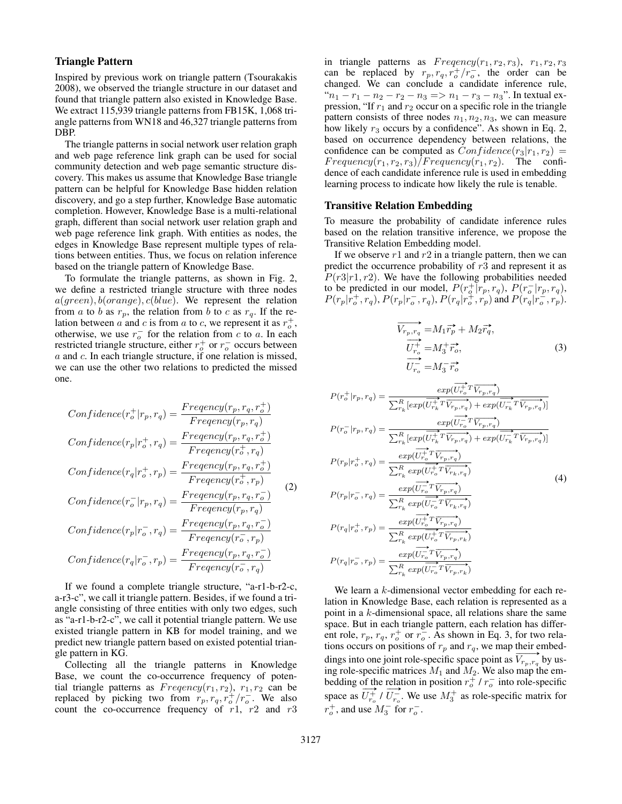## Triangle Pattern

Inspired by previous work on triangle pattern (Tsourakakis 2008), we observed the triangle structure in our dataset and found that triangle pattern also existed in Knowledge Base. We extract 115,939 triangle patterns from FB15K, 1,068 triangle patterns from WN18 and 46,327 triangle patterns from DBP.

The triangle patterns in social network user relation graph and web page reference link graph can be used for social community detection and web page semantic structure discovery. This makes us assume that Knowledge Base triangle pattern can be helpful for Knowledge Base hidden relation discovery, and go a step further, Knowledge Base automatic completion. However, Knowledge Base is a multi-relational graph, different than social network user relation graph and web page reference link graph. With entities as nodes, the edges in Knowledge Base represent multiple types of relations between entities. Thus, we focus on relation inference based on the triangle pattern of Knowledge Base.

To formulate the triangle patterns, as shown in Fig. 2, we define a restricted triangle structure with three nodes  $a(green), b(orange), c(blue)$ . We represent the relation from a to b as  $r_p$ , the relation from b to c as  $r_q$ . If the relation between  $\vec{a}$  and  $\vec{c}$  is from  $\vec{a}$  to  $\vec{c}$ , we represent it as  $r_o^+$ , otherwise, we use  $r_o^-$  for the relation from c to a. In each restricted triangle structure, either  $r_o^+$  or  $r_o^-$  occurs between a and c. In each triangle structure, if one relation is missed, we can use the other two relations to predicted the missed one.

$$
Confidence(r_o^+|r_p, r_q) = \frac{Frequency(r_p, r_q, r_o^+)}{Frequency(r_p, r_q)}
$$
  
\n
$$
Confidence(r_p|r_o^+, r_q) = \frac{Frequency(r_p, r_q, r_o^+)}{Frequency(r_o^+, r_q)}
$$
  
\n
$$
Confidence(r_q|r_o^+, r_p) = \frac{Frequency(r_p, r_q, r_o^+)}{Frequency(r_p, r_q, r_o^-)}
$$
  
\n
$$
Confidence(r_p|r_o^-, r_q) = \frac{Frequency(r_p, r_q, r_o^-)}{Frequency(r_p, r_q, r_o^-)}
$$
  
\n
$$
Confidence(r_q|r_o^-, r_p) = \frac{Frequency(r_p, r_q, r_o^-)}{Frequency(r_o^-, r_q)}
$$

If we found a complete triangle structure, "a-r1-b-r2-c, a-r3-c", we call it triangle pattern. Besides, if we found a triangle consisting of three entities with only two edges, such as "a-r1-b-r2-c", we call it potential triangle pattern. We use existed triangle pattern in KB for model training, and we predict new triangle pattern based on existed potential triangle pattern in KG.

Collecting all the triangle patterns in Knowledge Base, we count the co-occurrence frequency of potential triangle patterns as  $Frequency(r_1, r_2), r_1, r_2$  can be replaced by picking two from  $r_p, r_q, r_o^+/r_o^-$ . We also count the co-occurrence frequency of  $r1$ ,  $r2$  and  $r3$  in triangle patterns as  $Frequency(r_1, r_2, r_3), r_1, r_2, r_3)$ can be replaced by  $r_p, r_q, r_o^+/r_o^-$ , the order can be changed. We can conclude a candidate inference rule, " $n_1 - r_1 - n_2 - r_2 - n_3 \implies n_1 - r_3 - n_3$ ". In textual expression, "If  $r_1$  and  $r_2$  occur on a specific role in the triangle pattern consists of three nodes  $n_1, n_2, n_3$ , we can measure how likely  $r_3$  occurs by a confidence". As shown in Eq. 2, based on occurrence dependency between relations, the confidence can be computed as  $Confidence(r_3|r_1, r_2)$  =  $Frequency(r_1, r_2, r_3)/Frequency(r_1, r_2)$ . The confidence of each candidate inference rule is used in embedding learning process to indicate how likely the rule is tenable.

#### Transitive Relation Embedding

To measure the probability of candidate inference rules based on the relation transitive inference, we propose the Transitive Relation Embedding model.

If we observe  $r1$  and  $r2$  in a triangle pattern, then we can predict the occurrence probability of  $r3$  and represent it as  $P(r3|r1, r2)$ . We have the following probabilities needed to be predicted in our model,  $P(r_o^+|r_p, r_q)$ ,  $P(r_o^-|r_p, r_q)$ ,  $P(r_p|r_o^+, r_q)$ ,  $P(r_p|r_o^-, r_q)$ ,  $P(r_q|r_o^+, r_p)$  and  $P(r_q|r_o^-, r_p)$ .

$$
\overrightarrow{V_{r_p, r_q}} = M_1 \overrightarrow{r_p} + M_2 \overrightarrow{r_q},
$$
\n
$$
\overrightarrow{U_{r_o}^+} = M_3^+ \overrightarrow{r_o},
$$
\n
$$
\overrightarrow{U_{r_o}^-} = M_3^- \overrightarrow{r_o}
$$
\n(3)

$$
P(r_o^+|r_p, r_q) = \frac{exp(\overrightarrow{U_{r_o}^+ T} \overrightarrow{V_{r_p, r_q}})}{\sum_{r_k}^R [exp(\overrightarrow{U_{r_k}^+ T} \overrightarrow{V_{r_p, r_q}}) + exp(\overrightarrow{U_{r_k}^- T} \overrightarrow{V_{r_p, r_q}})]}
$$
  
\n
$$
P(r_o^-|r_p, r_q) = \frac{exp(\overrightarrow{U_{r_o}^+ T} \overrightarrow{V_{r_p, r_q}}) + exp(\overrightarrow{U_{r_k}^- T} \overrightarrow{V_{r_p, r_q}})]}{\sum_{r_k}^R [exp(\overrightarrow{U_{r_o}^+ T} \overrightarrow{V_{r_p, r_q}}) + exp(\overrightarrow{U_{r_k}^- T} \overrightarrow{V_{r_p, r_q}})]}
$$
  
\n
$$
P(r_p|r_o^-, r_q) = \frac{exp(\overrightarrow{U_{r_o}^- T} \overrightarrow{V_{r_p, r_q}})}{\sum_{r_k}^R exp(\overrightarrow{U_{r_o}^- T} \overrightarrow{V_{r_p, r_q}})}
$$
  
\n
$$
P(r_q|r_o^-, r_p) = \frac{exp(\overrightarrow{U_{r_o}^+ T} \overrightarrow{V_{r_p, r_q}})}{\sum_{r_k}^R exp(\overrightarrow{U_{r_o}^- T} \overrightarrow{V_{r_p, r_q}})}
$$
  
\n
$$
P(r_q|r_o^-, r_p) = \frac{exp(\overrightarrow{U_{r_o}^- T} \overrightarrow{V_{r_p, r_q}})}{\sum_{r_k}^R exp(\overrightarrow{U_{r_o}^- T} \overrightarrow{V_{r_p, r_k}})}
$$
  
\n(4)

We learn a  $k$ -dimensional vector embedding for each relation in Knowledge Base, each relation is represented as a point in a  $k$ -dimensional space, all relations share the same space. But in each triangle pattern, each relation has different role,  $r_p$ ,  $r_q$ ,  $r_o^+$  or  $r_o^-$ . As shown in Eq. 3, for two relations occurs on positions of  $r_p$  and  $r_q$ , we map their embeddings into one joint role-specific space point as  $\overline{V_{r_p, r_q}}$  by using role-specific matrices  $M_1$  and  $M_2$ . We also map the embedding of the relation in position  $r_o^+$  /  $r_o^-$  into role-specific space as  $U_{r_o}^+$  /  $U_{r_o}^-$ . We use  $M_3^+$  as role-specific matrix for  $r_o^+$ , and use  $M_3^-$  for  $r_o^-$ .

 $\sum_{r_k}^R exp($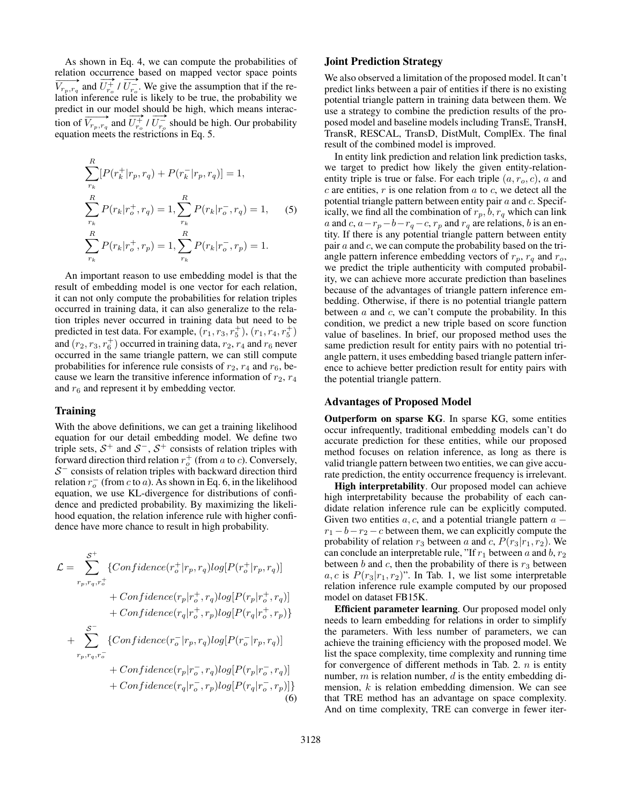As shown in Eq. 4, we can compute the probabilities of relation occurrence based on mapped vector space points  $\overrightarrow{V_{r_p,r_q}}$  and  $\stackrel{\text{1}}{\longrightarrow}$  $U_{r_o}^+$  /  $\stackrel{\text{ice}}{\longrightarrow}$  $U_{r_o}^-$ . We give the assumption that if the relation inference rule is likely to be true, the probability we predict in our model should be high, which means interacpredict in our model should be high, which means increase-<br>tion of  $\overline{V_{r_p}, r_q}$  and  $\overline{U_{r_o}^+} / \overline{U_{r_o}^-}$  should be high. Our probability equation meets the restrictions in Eq. 5.

$$
\sum_{r_k}^{R} [P(r_k^+|r_p, r_q) + P(r_k^-|r_p, r_q)] = 1,
$$
\n
$$
\sum_{r_k}^{R} P(r_k|r_o^+, r_q) = 1, \sum_{r_k}^{R} P(r_k|r_o^-, r_q) = 1,
$$
\n(5)\n
$$
\sum_{r_k}^{R} P(r_k|r_o^+, r_p) = 1, \sum_{r_k}^{R} P(r_k|r_o^-, r_p) = 1.
$$

An important reason to use embedding model is that the result of embedding model is one vector for each relation, it can not only compute the probabilities for relation triples occurred in training data, it can also generalize to the relation triples never occurred in training data but need to be predicted in test data. For example,  $(r_1, r_3, r_5^+)$ ,  $(r_1, r_4, r_5^+)$ and  $(r_2, r_3, r_6^+)$  occurred in training data,  $r_2, r_4$  and  $r_6$  never occurred in the same triangle pattern, we can still compute probabilities for inference rule consists of  $r_2$ ,  $r_4$  and  $r_6$ , because we learn the transitive inference information of  $r_2, r_4$ and  $r_6$  and represent it by embedding vector.

#### Training

With the above definitions, we can get a training likelihood equation for our detail embedding model. We define two triple sets,  $S^+$  and  $S^-$ ,  $S^+$  consists of relation triples with forward direction third relation  $r_o^+$  (from a to c). Conversely,  $S^-$  consists of relation triples with backward direction third relation  $r_o^-$  (from c to a). As shown in Eq. 6, in the likelihood equation, we use KL-divergence for distributions of confidence and predicted probability. By maximizing the likelihood equation, the relation inference rule with higher confidence have more chance to result in high probability.

$$
\mathcal{L} = \sum_{r_p, r_q, r_o^+}^{S^+} \{Confidence(r_o^+|r_p, r_q)log[P(r_o^+|r_p, r_q)]
$$
  
+  $Confidence(r_p|r_o^+, r_q)log[P(r_p|r_o^+, r_q)]$   
+  $Confidence(r_q|r_o^+, r_p)log[P(r_q|r_o^+, r_p)]$   
+
$$
\sum_{r_p, r_q, r_o^-}^{S^-} \{Confidence(r_o^-|r_p, r_q)log[P(r_o^-|r_p, r_q)]
$$
  
+  $Confidence(r_p|r_o^-, r_q)log[P(r_p|r_o^-, r_q)]$   
+ $Confidence(r_q|r_o^-, r_p)log[P(r_q|r_o^-, r_p)]$  (6)

## Joint Prediction Strategy

We also observed a limitation of the proposed model. It can't predict links between a pair of entities if there is no existing potential triangle pattern in training data between them. We use a strategy to combine the prediction results of the proposed model and baseline models including TransE, TransH, TransR, RESCAL, TransD, DistMult, ComplEx. The final result of the combined model is improved.

In entity link prediction and relation link prediction tasks, we target to predict how likely the given entity-relationentity triple is true or false. For each triple  $(a, r<sub>o</sub>, c)$ , a and  $c$  are entities,  $r$  is one relation from  $a$  to  $c$ , we detect all the potential triangle pattern between entity pair  $a$  and  $c$ . Specifically, we find all the combination of  $r_p$ ,  $b$ ,  $r_q$  which can link a and c,  $a-r_p-b-r_q-c$ ,  $r_p$  and  $r_q$  are relations, b is an entity. If there is any potential triangle pattern between entity pair  $a$  and  $c$ , we can compute the probability based on the triangle pattern inference embedding vectors of  $r_p$ ,  $r_q$  and  $r_o$ , we predict the triple authenticity with computed probability, we can achieve more accurate prediction than baselines because of the advantages of triangle pattern inference embedding. Otherwise, if there is no potential triangle pattern between  $a$  and  $c$ , we can't compute the probability. In this condition, we predict a new triple based on score function value of baselines. In brief, our proposed method uses the same prediction result for entity pairs with no potential triangle pattern, it uses embedding based triangle pattern inference to achieve better prediction result for entity pairs with the potential triangle pattern.

## Advantages of Proposed Model

Outperform on sparse KG. In sparse KG, some entities occur infrequently, traditional embedding models can't do accurate prediction for these entities, while our proposed method focuses on relation inference, as long as there is valid triangle pattern between two entities, we can give accurate prediction, the entity occurrence frequency is irrelevant.

High interpretability. Our proposed model can achieve high interpretability because the probability of each candidate relation inference rule can be explicitly computed. Given two entities  $a, c$ , and a potential triangle pattern  $a$  $r_1 - b - r_2 - c$  between them, we can explicitly compute the probability of relation  $r_3$  between a and c,  $P(r_3|r_1, r_2)$ . We can conclude an interpretable rule, "If  $r_1$  between a and b,  $r_2$ between b and c, then the probability of there is  $r_3$  between  $a, c$  is  $P(r_3|r_1, r_2)$ ". In Tab. 1, we list some interpretable relation inference rule example computed by our proposed model on dataset FB15K.

Efficient parameter learning. Our proposed model only needs to learn embedding for relations in order to simplify the parameters. With less number of parameters, we can achieve the training efficiency with the proposed model. We list the space complexity, time complexity and running time for convergence of different methods in Tab. 2.  $n$  is entity number,  $m$  is relation number,  $d$  is the entity embedding dimension,  $k$  is relation embedding dimension. We can see that TRE method has an advantage on space complexity. And on time complexity, TRE can converge in fewer iter-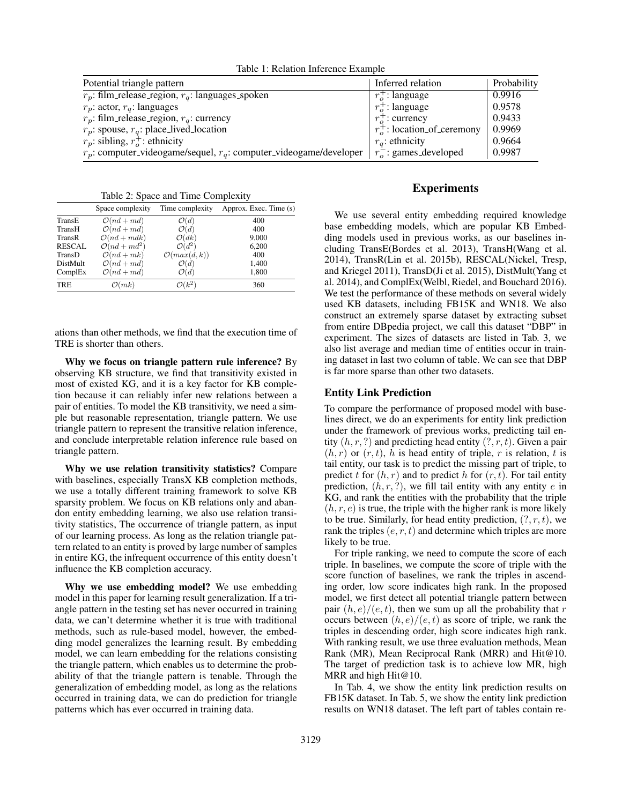Table 1: Relation Inference Example

| Potential triangle pattern                                              | Inferred relation              | Probability |
|-------------------------------------------------------------------------|--------------------------------|-------------|
| $r_p$ : film_release_region, $r_q$ : languages_spoken                   | $r_{\alpha}^{+}$ : language    | 0.9916      |
| $r_p$ : actor, $r_q$ : languages                                        | $r_o^+$ : language             | 0.9578      |
| $r_p$ : film_release_region, $r_q$ : currency                           | $r_{\circ}^{+}$ : currency     | 0.9433      |
| $r_p$ : spouse, $r_q$ : place_lived_location                            | $r_o^+$ : location_of_ceremony | 0.9969      |
| $r_p$ : sibling, $r_o^+$ : ethnicity                                    | $r_a$ : ethnicity              | 0.9664      |
| $r_p$ : computer_videogame/sequel, $r_q$ : computer_videogame/developer | $r_{o}^{-}$ : games_developed  | 0.9987      |

Table 2: Space and Time Complexity

|                 | -                        |                         |                        |
|-----------------|--------------------------|-------------------------|------------------------|
|                 | Space complexity         | Time complexity         | Approx. Exec. Time (s) |
| TransE          | $\mathcal{O}(nd+md)$     | $\mathcal{O}(d)$        | 400                    |
| TransH          | $\mathcal{O}(nd+md)$     | $\mathcal{O}(d)$        | 400                    |
| TransR          | $\mathcal{O}(nd + mdk)$  | $\mathcal{O}(dk)$       | 9,000                  |
| <b>RESCAL</b>   | $\mathcal{O}(nd + md^2)$ | $\mathcal{O}(d^2)$      | 6,200                  |
| TransD          | $\mathcal{O}(nd+mk)$     | $\mathcal{O}(max(d,k))$ | 400                    |
| <b>DistMult</b> | $\mathcal{O}(nd+md)$     | $\mathcal{O}(d)$        | 1,400                  |
| ComplEx         | $\mathcal{O}(nd+md)$     | $\mathcal{O}(d)$        | 1,800                  |
| <b>TRE</b>      | $\mathcal{O}(mk)$        | $\mathcal{O}(k^2)$      | 360                    |

ations than other methods, we find that the execution time of TRE is shorter than others.

Why we focus on triangle pattern rule inference? By observing KB structure, we find that transitivity existed in most of existed KG, and it is a key factor for KB completion because it can reliably infer new relations between a pair of entities. To model the KB transitivity, we need a simple but reasonable representation, triangle pattern. We use triangle pattern to represent the transitive relation inference, and conclude interpretable relation inference rule based on triangle pattern.

Why we use relation transitivity statistics? Compare with baselines, especially TransX KB completion methods, we use a totally different training framework to solve KB sparsity problem. We focus on KB relations only and abandon entity embedding learning, we also use relation transitivity statistics, The occurrence of triangle pattern, as input of our learning process. As long as the relation triangle pattern related to an entity is proved by large number of samples in entire KG, the infrequent occurrence of this entity doesn't influence the KB completion accuracy.

Why we use embedding model? We use embedding model in this paper for learning result generalization. If a triangle pattern in the testing set has never occurred in training data, we can't determine whether it is true with traditional methods, such as rule-based model, however, the embedding model generalizes the learning result. By embedding model, we can learn embedding for the relations consisting the triangle pattern, which enables us to determine the probability of that the triangle pattern is tenable. Through the generalization of embedding model, as long as the relations occurred in training data, we can do prediction for triangle patterns which has ever occurred in training data.

## Experiments

We use several entity embedding required knowledge base embedding models, which are popular KB Embedding models used in previous works, as our baselines including TransE(Bordes et al. 2013), TransH(Wang et al. 2014), TransR(Lin et al. 2015b), RESCAL(Nickel, Tresp, and Kriegel 2011), TransD(Ji et al. 2015), DistMult(Yang et al. 2014), and ComplEx(Welbl, Riedel, and Bouchard 2016). We test the performance of these methods on several widely used KB datasets, including FB15K and WN18. We also construct an extremely sparse dataset by extracting subset from entire DBpedia project, we call this dataset "DBP" in experiment. The sizes of datasets are listed in Tab. 3, we also list average and median time of entities occur in training dataset in last two column of table. We can see that DBP is far more sparse than other two datasets.

#### Entity Link Prediction

To compare the performance of proposed model with baselines direct, we do an experiments for entity link prediction under the framework of previous works, predicting tail entity  $(h, r, ?)$  and predicting head entity  $(?, r, t)$ . Given a pair  $(h, r)$  or  $(r, t)$ , h is head entity of triple, r is relation, t is tail entity, our task is to predict the missing part of triple, to predict t for  $(h, r)$  and to predict h for  $(r, t)$ . For tail entity prediction,  $(h, r, ?)$ , we fill tail entity with any entity e in KG, and rank the entities with the probability that the triple  $(h, r, e)$  is true, the triple with the higher rank is more likely to be true. Similarly, for head entity prediction,  $(?, r, t)$ , we rank the triples  $(e, r, t)$  and determine which triples are more likely to be true.

For triple ranking, we need to compute the score of each triple. In baselines, we compute the score of triple with the score function of baselines, we rank the triples in ascending order, low score indicates high rank. In the proposed model, we first detect all potential triangle pattern between pair  $(h, e)/(e, t)$ , then we sum up all the probability that r occurs between  $(h, e)/(e, t)$  as score of triple, we rank the triples in descending order, high score indicates high rank. With ranking result, we use three evaluation methods, Mean Rank (MR), Mean Reciprocal Rank (MRR) and Hit@10. The target of prediction task is to achieve low MR, high MRR and high Hit@10.

In Tab. 4, we show the entity link prediction results on FB15K dataset. In Tab. 5, we show the entity link prediction results on WN18 dataset. The left part of tables contain re-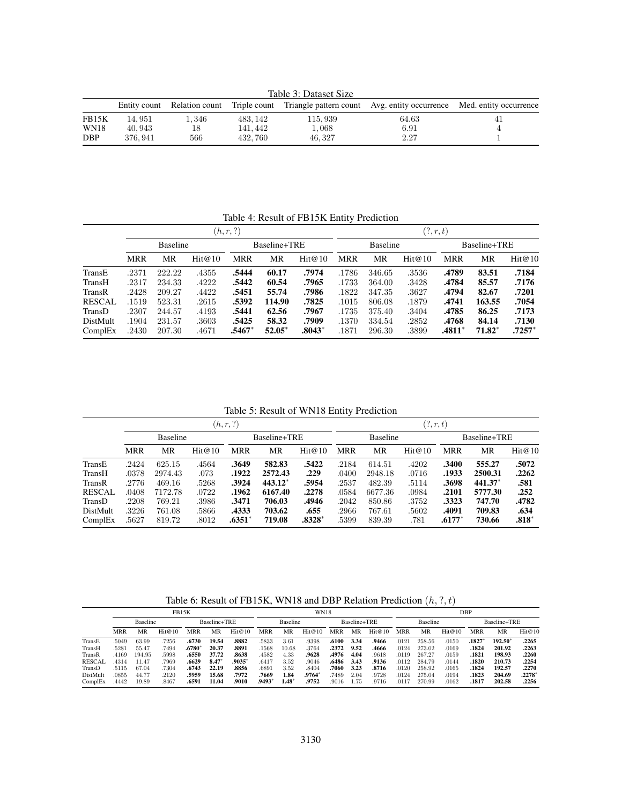Table 3: Dataset Size

|             |         |       |         |         | Entity count Relation count Triple count Triangle pattern count Avg. entity occurrence Med. entity occurrence |    |  |  |
|-------------|---------|-------|---------|---------|---------------------------------------------------------------------------------------------------------------|----|--|--|
| FB15K       | 14.951  | 1.346 | 483.142 | 115,939 | 64.63                                                                                                         | 41 |  |  |
| <b>WN18</b> | 40.943  |       | 141.442 | 1,068   | 6.91                                                                                                          |    |  |  |
| DBP         | 376.941 | 566   | 432.760 | 46.327  | 2.27                                                                                                          |    |  |  |

Table 4: Result of FB15K Entity Prediction

|               |                 |        |        | (h, r, ?)    |          | (?,r,t)  |            |                 |        |              |          |          |  |
|---------------|-----------------|--------|--------|--------------|----------|----------|------------|-----------------|--------|--------------|----------|----------|--|
|               | <b>Baseline</b> |        |        | Baseline+TRE |          |          |            | <b>Baseline</b> |        | Baseline+TRE |          |          |  |
|               | <b>MRR</b>      | MR     | Hit@10 | <b>MRR</b>   | MR       | Hit@10   | <b>MRR</b> | MR              | Hit@10 | <b>MRR</b>   | MR       | Hit@10   |  |
| TransE        | .2371           | 222.22 | .4355  | .5444        | 60.17    | .7974    | .1786      | 346.65          | .3536  | .4789        | 83.51    | .7184    |  |
| TransH        | .2317           | 234.33 | .4222  | .5442        | 60.54    | .7965    | .1733      | 364.00          | .3428  | .4784        | 85.57    | .7176    |  |
| TransR        | .2428           | 209.27 | .4422  | .5451        | 55.74    | .7986    | .1822      | 347.35          | .3627  | .4794        | 82.67    | .7201    |  |
| <b>RESCAL</b> | .1519           | 523.31 | .2615  | .5392        | 114.90   | .7825    | .1015      | 806.08          | .1879  | .4741        | 163.55   | .7054    |  |
| TransD        | .2307           | 244.57 | .4193  | .5441        | 62.56    | .7967    | .1735      | 375.40          | .3404  | .4785        | 86.25    | .7173    |  |
| DistMult      | .1904           | 231.57 | .3603  | .5425        | 58.32    | .7909    | .1370      | 334.54          | .2852  | .4768        | 84.14    | .7130    |  |
| ComplEx       | .2430           | 207.30 | .4671  | .5467*       | $52.05*$ | $.8043*$ | .1871      | 296.30          | .3899  | .4811*       | $71.82*$ | $.7257*$ |  |

Table 5: Result of WN18 Entity Prediction

|               |                 |         |        | (h,r,?)    |           |                          |            | (?,r,t) |        |              |           |         |  |
|---------------|-----------------|---------|--------|------------|-----------|--------------------------|------------|---------|--------|--------------|-----------|---------|--|
|               | <b>Baseline</b> |         |        |            |           | Baseline<br>Baseline+TRE |            |         |        | Baseline+TRE |           |         |  |
|               | <b>MRR</b>      | MR      | Hit@10 | <b>MRR</b> | MR        | Hit@10                   | <b>MRR</b> | MR      | Hit@10 | <b>MRR</b>   | MR        | Hit@10  |  |
| TransE        | .2424           | 625.15  | .4564  | .3649      | 582.83    | .5422                    | .2184      | 614.51  | .4202  | .3400        | 555.27    | .5072   |  |
| TransH        | .0378           | 2974.43 | .073   | .1922      | 2572.43   | .229                     | .0400      | 2948.18 | .0716  | .1933        | 2500.31   | .2262   |  |
| TransR        | .2776           | 469.16  | .5268  | .3924      | $443.12*$ | .5954                    | .2537      | 482.39  | .5114  | .3698        | $441.37*$ | .581    |  |
| <b>RESCAL</b> | .0408           | 7172.78 | .0722  | .1962      | 6167.40   | .2278                    | .0584      | 6677.36 | .0984  | .2101        | 5777.30   | .252    |  |
| TransD        | .2208           | 769.21  | .3986  | .3471      | 706.03    | .4946                    | .2042      | 850.86  | .3752  | .3323        | 747.70    | .4782   |  |
| DistMult      | .3226           | 761.08  | .5866  | .4333      | 703.62    | .655                     | .2966      | 767.61  | .5602  | .4091        | 709.83    | .634    |  |
| ComplEx       | .5627           | 819.72  | .8012  | $.6351*$   | 719.08    | $.8328*$                 | .5399      | 839.39  | .781   | $.6177*$     | 730.66    | $.818*$ |  |

Table 6: Result of FB15K, WN18 and DBP Relation Prediction  $(h, ?, t)$ 

|               | <b>FB15K</b>    |        |        |              |       | <b>WN18</b> |                 |         |              |       | DBP             |        |       |              |        |            |        |          |
|---------------|-----------------|--------|--------|--------------|-------|-------------|-----------------|---------|--------------|-------|-----------------|--------|-------|--------------|--------|------------|--------|----------|
|               | <b>Baseline</b> |        |        | Baseline+TRE |       |             | <b>Baseline</b> |         | Baseline+TRE |       | <b>Baseline</b> |        |       | Baseline+TRE |        |            |        |          |
|               | <b>MRR</b>      | MR     | Hit@10 | <b>MRR</b>   | MR    | Hit@10      | MRR             | MR      | Hit@10       | MRR   | MR              | Hit@10 | MRR   | MR           | Hit@10 | <b>MRR</b> | MR     | Hit@10   |
| TransE        | .5049           | 63.99  | .7256  | .6730        | 19.54 | .8882       | .5833           | 3.61    | .9398        | .6100 | 3.34            | .9466  | .0121 | 258.56       | .0150  | .1827      | 192.50 | .2265    |
| TransH        | .5281           | 55.47  | .7494  | $.6780^{*}$  | 20.37 | .8891       | .1568           | 10.68   | .3764        | .2372 | 9.52            | .4666  | .0124 | 273.02       | .0169  | .1824      | 201.92 | .2263    |
| TransR        | .4169           | 194.95 | .5998  | .6550        | 37.72 | .8638       | .4582           | 4.33    | .9628        | .4976 | 4.04            | .9618  | .0119 | 267.27       | .0159  | .1821      | 198.93 | .2260    |
| <b>RESCAL</b> | 4314            | 1.47   | 7969   | .6629        | 8.47  | .9035*      | .6417           | 3.52    | .9046        | .6486 | 3.43            | .9136  | .0112 | 284.79       | .0144  | .1820      | 210.73 | .2254    |
| TransD        | .5115           | 67.04  | .7304  | .6743        | 22.19 | .8856       | .6891           | 3.52    | .8404        | .7060 | 3.23            | .8716  | .0120 | 258.92       | .0165  | .1824      | 192.57 | .2270    |
| DistMult      | .0855           | 44.77  | .2120  | .5959        | 15.68 | .7972       | .7669           | 1.84    | .9764*       | .7489 | 2.04            | .9728  | .0124 | 275.04       | .0194  | .1823      | 204.69 | $.2278*$ |
| ComplEx       | .4442           | 19.89  | .8467  | .6591        | 11.04 | .9010       | .9493           | $1.48*$ | .9752        | .9016 | 1.75            | .9716  | .0117 | 270.99       | .0162  | .1817      | 202.58 | .2256    |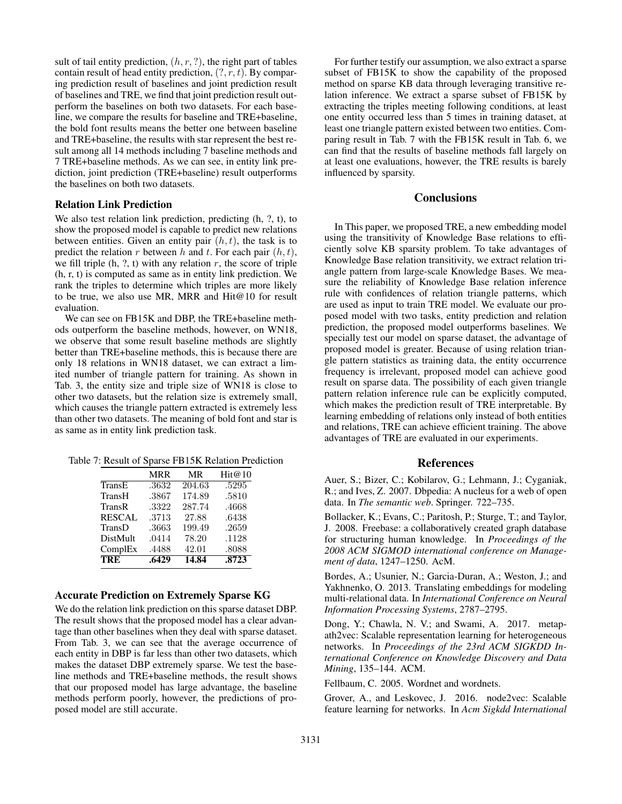sult of tail entity prediction,  $(h, r, ?)$ , the right part of tables contain result of head entity prediction,  $(?, r, t)$ . By comparing prediction result of baselines and joint prediction result of baselines and TRE, we find that joint prediction result outperform the baselines on both two datasets. For each baseline, we compare the results for baseline and TRE+baseline, the bold font results means the better one between baseline and TRE+baseline, the results with star represent the best result among all 14 methods including 7 baseline methods and 7 TRE+baseline methods. As we can see, in entity link prediction, joint prediction (TRE+baseline) result outperforms the baselines on both two datasets.

#### Relation Link Prediction

We also test relation link prediction, predicting  $(h, ?, t)$ , to show the proposed model is capable to predict new relations between entities. Given an entity pair  $(h, t)$ , the task is to predict the relation r between h and t. For each pair  $(h, t)$ , we fill triple  $(h, ?, t)$  with any relation r, the score of triple (h, r, t) is computed as same as in entity link prediction. We rank the triples to determine which triples are more likely to be true, we also use MR, MRR and Hit@10 for result evaluation.

We can see on FB15K and DBP, the TRE+baseline methods outperform the baseline methods, however, on WN18, we observe that some result baseline methods are slightly better than TRE+baseline methods, this is because there are only 18 relations in WN18 dataset, we can extract a limited number of triangle pattern for training. As shown in Tab. 3, the entity size and triple size of WN18 is close to other two datasets, but the relation size is extremely small, which causes the triangle pattern extracted is extremely less than other two datasets. The meaning of bold font and star is as same as in entity link prediction task.

Table 7: Result of Sparse FB15K Relation Prediction

|               | MRR   | MR     | Hit@10 |
|---------------|-------|--------|--------|
| TransE        | .3632 | 204.63 | .5295  |
| TransH        | .3867 | 174.89 | .5810  |
| TransR        | .3322 | 287.74 | .4668  |
| <b>RESCAL</b> | .3713 | 27.88  | .6438  |
| TransD        | .3663 | 199.49 | .2659  |
| DistMult      | .0414 | 78.20  | .1128  |
| ComplEx       | .4488 | 42.01  | .8088  |
| <b>TRE</b>    | .6429 | 14.84  | .8723  |

## Accurate Prediction on Extremely Sparse KG

We do the relation link prediction on this sparse dataset DBP. The result shows that the proposed model has a clear advantage than other baselines when they deal with sparse dataset. From Tab. 3, we can see that the average occurrence of each entity in DBP is far less than other two datasets, which makes the dataset DBP extremely sparse. We test the baseline methods and TRE+baseline methods, the result shows that our proposed model has large advantage, the baseline methods perform poorly, however, the predictions of proposed model are still accurate.

For further testify our assumption, we also extract a sparse subset of FB15K to show the capability of the proposed method on sparse KB data through leveraging transitive relation inference. We extract a sparse subset of FB15K by extracting the triples meeting following conditions, at least one entity occurred less than 5 times in training dataset, at least one triangle pattern existed between two entities. Comparing result in Tab. 7 with the FB15K result in Tab. 6, we can find that the results of baseline methods fall largely on at least one evaluations, however, the TRE results is barely influenced by sparsity.

## **Conclusions**

In This paper, we proposed TRE, a new embedding model using the transitivity of Knowledge Base relations to efficiently solve KB sparsity problem. To take advantages of Knowledge Base relation transitivity, we extract relation triangle pattern from large-scale Knowledge Bases. We measure the reliability of Knowledge Base relation inference rule with confidences of relation triangle patterns, which are used as input to train TRE model. We evaluate our proposed model with two tasks, entity prediction and relation prediction, the proposed model outperforms baselines. We specially test our model on sparse dataset, the advantage of proposed model is greater. Because of using relation triangle pattern statistics as training data, the entity occurrence frequency is irrelevant, proposed model can achieve good result on sparse data. The possibility of each given triangle pattern relation inference rule can be explicitly computed, which makes the prediction result of TRE interpretable. By learning embedding of relations only instead of both entities and relations, TRE can achieve efficient training. The above advantages of TRE are evaluated in our experiments.

## References

Auer, S.; Bizer, C.; Kobilarov, G.; Lehmann, J.; Cyganiak, R.; and Ives, Z. 2007. Dbpedia: A nucleus for a web of open data. In *The semantic web*. Springer. 722–735.

Bollacker, K.; Evans, C.; Paritosh, P.; Sturge, T.; and Taylor, J. 2008. Freebase: a collaboratively created graph database for structuring human knowledge. In *Proceedings of the 2008 ACM SIGMOD international conference on Management of data*, 1247–1250. AcM.

Bordes, A.; Usunier, N.; Garcia-Duran, A.; Weston, J.; and Yakhnenko, O. 2013. Translating embeddings for modeling multi-relational data. In *International Conference on Neural Information Processing Systems*, 2787–2795.

Dong, Y.; Chawla, N. V.; and Swami, A. 2017. metapath2vec: Scalable representation learning for heterogeneous networks. In *Proceedings of the 23rd ACM SIGKDD International Conference on Knowledge Discovery and Data Mining*, 135–144. ACM.

Fellbaum, C. 2005. Wordnet and wordnets.

Grover, A., and Leskovec, J. 2016. node2vec: Scalable feature learning for networks. In *Acm Sigkdd International*